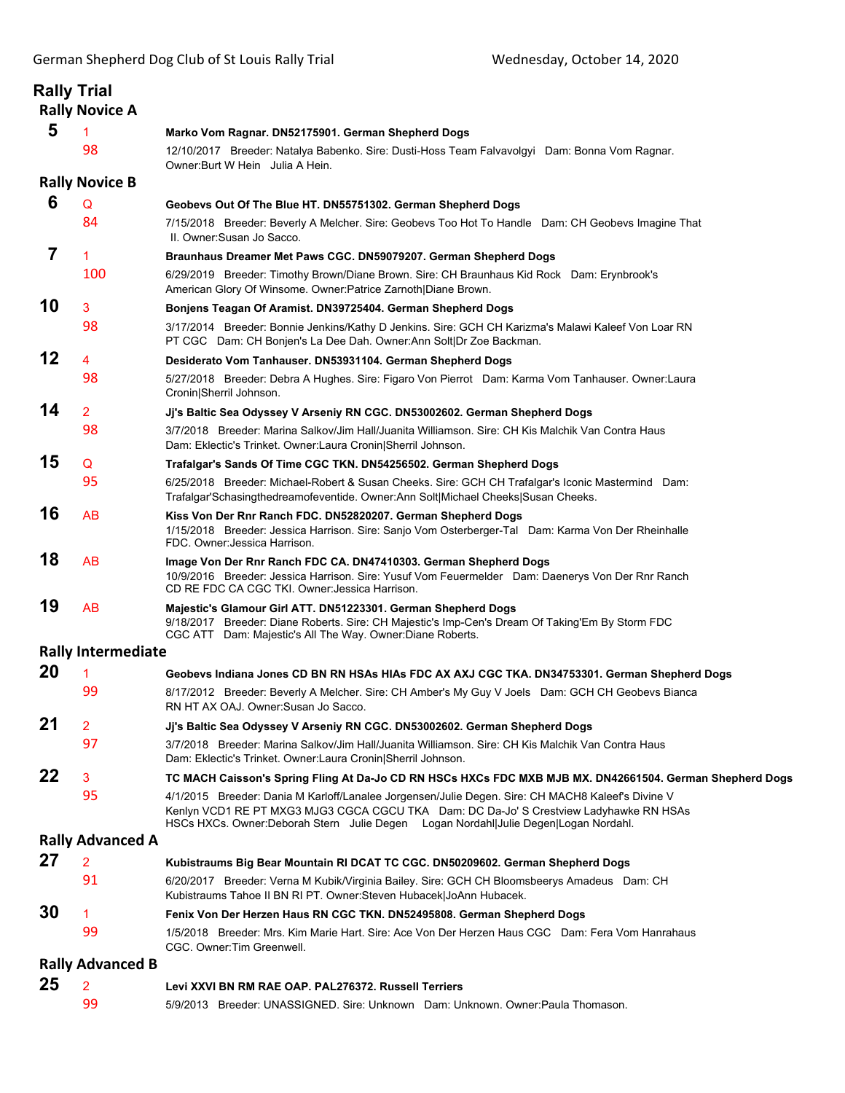|                | <b>Rally Trial</b><br><b>Rally Novice A</b> |                                                                                                                                                                                                                                                                                     |
|----------------|---------------------------------------------|-------------------------------------------------------------------------------------------------------------------------------------------------------------------------------------------------------------------------------------------------------------------------------------|
| 5              | 1                                           | Marko Vom Ragnar. DN52175901. German Shepherd Dogs                                                                                                                                                                                                                                  |
|                | 98                                          | 12/10/2017 Breeder: Natalya Babenko. Sire: Dusti-Hoss Team Falvavolgyi Dam: Bonna Vom Ragnar.<br>Owner: Burt W Hein Julia A Hein.                                                                                                                                                   |
|                | <b>Rally Novice B</b>                       |                                                                                                                                                                                                                                                                                     |
| 6              | Q                                           | Geobevs Out Of The Blue HT. DN55751302. German Shepherd Dogs                                                                                                                                                                                                                        |
|                | 84                                          | 7/15/2018 Breeder: Beverly A Melcher. Sire: Geobevs Too Hot To Handle Dam: CH Geobevs Imagine That<br>II. Owner: Susan Jo Sacco.                                                                                                                                                    |
| $\overline{7}$ | $\mathbf{1}$                                | Braunhaus Dreamer Met Paws CGC. DN59079207. German Shepherd Dogs                                                                                                                                                                                                                    |
|                | 100                                         | 6/29/2019 Breeder: Timothy Brown/Diane Brown. Sire: CH Braunhaus Kid Rock Dam: Erynbrook's<br>American Glory Of Winsome. Owner: Patrice Zarnoth Diane Brown.                                                                                                                        |
| 10             | 3                                           | Bonjens Teagan Of Aramist. DN39725404. German Shepherd Dogs                                                                                                                                                                                                                         |
|                | 98                                          | 3/17/2014 Breeder: Bonnie Jenkins/Kathy D Jenkins. Sire: GCH CH Karizma's Malawi Kaleef Von Loar RN<br>PT CGC Dam: CH Bonjen's La Dee Dah. Owner:Ann Solt Dr Zoe Backman.                                                                                                           |
| 12             | 4                                           | Desiderato Vom Tanhauser. DN53931104. German Shepherd Dogs                                                                                                                                                                                                                          |
|                | 98                                          | 5/27/2018 Breeder: Debra A Hughes. Sire: Figaro Von Pierrot Dam: Karma Vom Tanhauser. Owner: Laura<br>Cronin Sherril Johnson.                                                                                                                                                       |
| 14             | $\overline{2}$                              | Ji's Baltic Sea Odyssey V Arseniy RN CGC. DN53002602. German Shepherd Dogs                                                                                                                                                                                                          |
|                | 98                                          | 3/7/2018 Breeder: Marina Salkov/Jim Hall/Juanita Williamson. Sire: CH Kis Malchik Van Contra Haus<br>Dam: Eklectic's Trinket. Owner:Laura Cronin Sherril Johnson.                                                                                                                   |
| 15             | Q                                           | Trafalgar's Sands Of Time CGC TKN. DN54256502. German Shepherd Dogs                                                                                                                                                                                                                 |
|                | 95                                          | 6/25/2018 Breeder: Michael-Robert & Susan Cheeks. Sire: GCH CH Trafalgar's Iconic Mastermind Dam:<br>Trafalgar'Schasingthedreamofeventide. Owner:Ann Solt Michael Cheeks Susan Cheeks.                                                                                              |
| 16             | AB                                          | Kiss Von Der Rnr Ranch FDC. DN52820207. German Shepherd Dogs<br>1/15/2018 Breeder: Jessica Harrison. Sire: Sanjo Vom Osterberger-Tal Dam: Karma Von Der Rheinhalle<br>FDC. Owner: Jessica Harrison.                                                                                 |
| 18             | AB                                          | Image Von Der Rnr Ranch FDC CA. DN47410303. German Shepherd Dogs<br>10/9/2016 Breeder: Jessica Harrison. Sire: Yusuf Vom Feuermelder Dam: Daenerys Von Der Rnr Ranch<br>CD RE FDC CA CGC TKI. Owner: Jessica Harrison.                                                              |
| 19             | AB                                          | Majestic's Glamour Girl ATT. DN51223301. German Shepherd Dogs<br>9/18/2017 Breeder: Diane Roberts. Sire: CH Majestic's Imp-Cen's Dream Of Taking'Em By Storm FDC<br>CGC ATT Dam: Majestic's All The Way. Owner: Diane Roberts.                                                      |
|                | <b>Rally Intermediate</b>                   |                                                                                                                                                                                                                                                                                     |
| 20             | 1                                           | Geobevs Indiana Jones CD BN RN HSAs HIAs FDC AX AXJ CGC TKA. DN34753301. German Shepherd Dogs                                                                                                                                                                                       |
|                | 99                                          | 8/17/2012 Breeder: Beverly A Melcher. Sire: CH Amber's My Guy V Joels Dam: GCH CH Geobevs Bianca<br>RN HT AX OAJ. Owner: Susan Jo Sacco.                                                                                                                                            |
| 21             | $\overline{2}$                              | Jj's Baltic Sea Odyssey V Arseniy RN CGC. DN53002602. German Shepherd Dogs                                                                                                                                                                                                          |
|                | 97                                          | 3/7/2018 Breeder: Marina Salkov/Jim Hall/Juanita Williamson. Sire: CH Kis Malchik Van Contra Haus<br>Dam: Eklectic's Trinket. Owner: Laura Cronin Sherril Johnson.                                                                                                                  |
| 22             | 3                                           | TC MACH Caisson's Spring Fling At Da-Jo CD RN HSCs HXCs FDC MXB MJB MX. DN42661504. German Shepherd Dogs                                                                                                                                                                            |
|                | 95                                          | 4/1/2015 Breeder: Dania M Karloff/Lanalee Jorgensen/Julie Degen. Sire: CH MACH8 Kaleef's Divine V<br>Kenlyn VCD1 RE PT MXG3 MJG3 CGCA CGCU TKA Dam: DC Da-Jo' S Crestview Ladyhawke RN HSAs<br>HSCs HXCs. Owner: Deborah Stern Julie Degen Logan Nordahl Julie Degen Logan Nordahl. |
|                | <b>Rally Advanced A</b>                     |                                                                                                                                                                                                                                                                                     |
| 27             | $\overline{2}$                              | Kubistraums Big Bear Mountain RI DCAT TC CGC. DN50209602. German Shepherd Dogs                                                                                                                                                                                                      |
|                | 91                                          | 6/20/2017 Breeder: Verna M Kubik/Virginia Bailey. Sire: GCH CH Bloomsbeerys Amadeus Dam: CH<br>Kubistraums Tahoe II BN RI PT. Owner: Steven Hubacek JoAnn Hubacek.                                                                                                                  |
| 30             | 1.                                          | Fenix Von Der Herzen Haus RN CGC TKN. DN52495808. German Shepherd Dogs                                                                                                                                                                                                              |
|                | 99                                          | 1/5/2018 Breeder: Mrs. Kim Marie Hart. Sire: Ace Von Der Herzen Haus CGC Dam: Fera Vom Hanrahaus<br>CGC. Owner: Tim Greenwell.                                                                                                                                                      |
|                | <b>Rally Advanced B</b>                     |                                                                                                                                                                                                                                                                                     |
| 25             | $\overline{2}$                              | Levi XXVI BN RM RAE OAP. PAL276372. Russell Terriers                                                                                                                                                                                                                                |
|                | 99                                          | 5/9/2013 Breeder: UNASSIGNED. Sire: Unknown Dam: Unknown. Owner:Paula Thomason.                                                                                                                                                                                                     |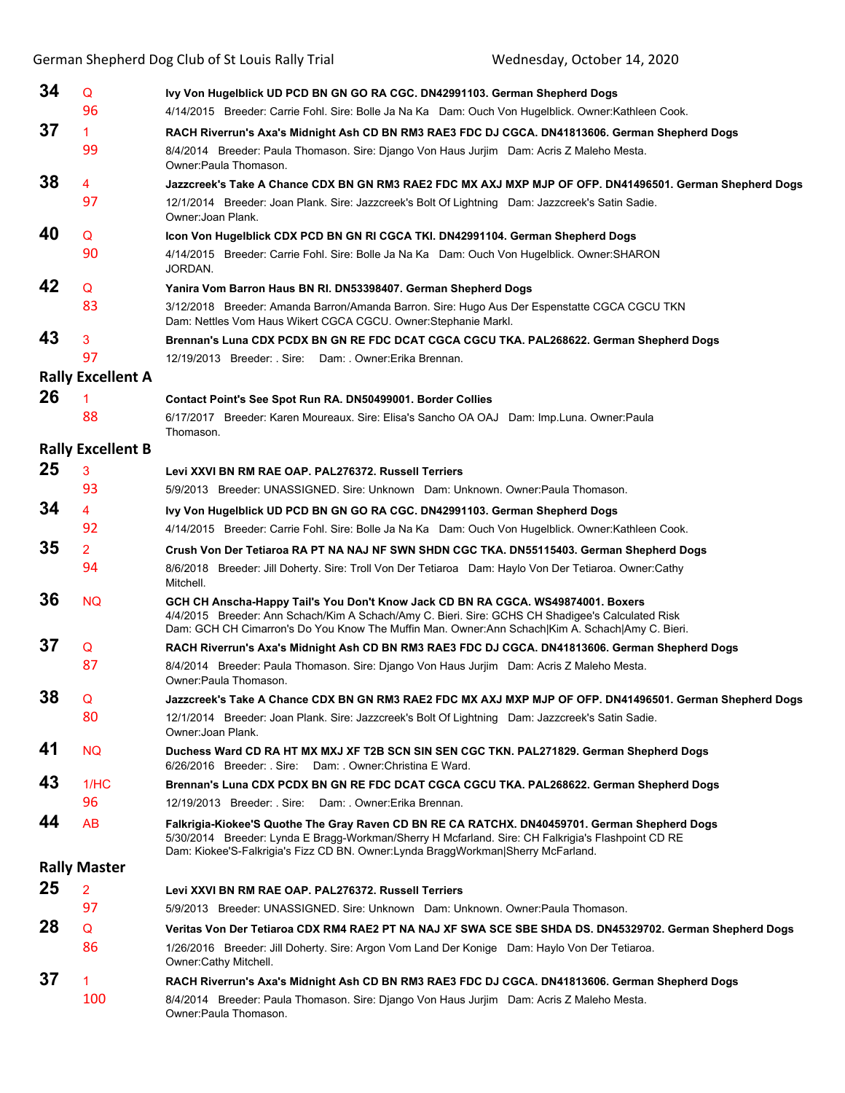|    |                          | German Shepherd Dog Club of St Louis Rally Trial<br>Wednesday, October 14, 2020                                                                                                                                                                                                         |
|----|--------------------------|-----------------------------------------------------------------------------------------------------------------------------------------------------------------------------------------------------------------------------------------------------------------------------------------|
| 34 | $\mathsf Q$              | Ivy Von Hugelblick UD PCD BN GN GO RA CGC. DN42991103. German Shepherd Dogs                                                                                                                                                                                                             |
|    | 96                       | 4/14/2015 Breeder: Carrie Fohl. Sire: Bolle Ja Na Ka Dam: Ouch Von Hugelblick. Owner: Kathleen Cook.                                                                                                                                                                                    |
| 37 | 1.                       | RACH Riverrun's Axa's Midnight Ash CD BN RM3 RAE3 FDC DJ CGCA. DN41813606. German Shepherd Dogs                                                                                                                                                                                         |
|    | 99                       | 8/4/2014 Breeder: Paula Thomason. Sire: Diango Von Haus Jurijm Dam: Acris Z Maleho Mesta.<br>Owner: Paula Thomason.                                                                                                                                                                     |
| 38 | 4                        | Jazzcreek's Take A Chance CDX BN GN RM3 RAE2 FDC MX AXJ MXP MJP OF OFP. DN41496501. German Shepherd Dogs                                                                                                                                                                                |
|    | 97                       | 12/1/2014 Breeder: Joan Plank. Sire: Jazzcreek's Bolt Of Lightning Dam: Jazzcreek's Satin Sadie.<br>Owner: Joan Plank.                                                                                                                                                                  |
| 40 | Q                        | Icon Von Hugelblick CDX PCD BN GN RI CGCA TKI. DN42991104. German Shepherd Dogs                                                                                                                                                                                                         |
|    | 90                       | 4/14/2015 Breeder: Carrie Fohl. Sire: Bolle Ja Na Ka Dam: Ouch Von Hugelblick. Owner: SHARON<br>JORDAN.                                                                                                                                                                                 |
| 42 | Q                        | Yanira Vom Barron Haus BN RI. DN53398407. German Shepherd Dogs                                                                                                                                                                                                                          |
|    | 83                       | 3/12/2018 Breeder: Amanda Barron/Amanda Barron. Sire: Hugo Aus Der Espenstatte CGCA CGCU TKN<br>Dam: Nettles Vom Haus Wikert CGCA CGCU. Owner: Stephanie Markl.                                                                                                                         |
| 43 | 3                        | Brennan's Luna CDX PCDX BN GN RE FDC DCAT CGCA CGCU TKA. PAL268622. German Shepherd Dogs                                                                                                                                                                                                |
|    | 97                       | 12/19/2013 Breeder: Sire: Dam: Owner: Erika Brennan.                                                                                                                                                                                                                                    |
|    | <b>Rally Excellent A</b> |                                                                                                                                                                                                                                                                                         |
| 26 | 1                        | Contact Point's See Spot Run RA. DN50499001. Border Collies                                                                                                                                                                                                                             |
|    | 88                       | 6/17/2017 Breeder: Karen Moureaux. Sire: Elisa's Sancho OA OAJ Dam: Imp.Luna. Owner:Paula<br>Thomason.                                                                                                                                                                                  |
|    | <b>Rally Excellent B</b> |                                                                                                                                                                                                                                                                                         |
| 25 | 3                        | Levi XXVI BN RM RAE OAP. PAL276372. Russell Terriers                                                                                                                                                                                                                                    |
|    | 93                       | 5/9/2013 Breeder: UNASSIGNED. Sire: Unknown Dam: Unknown. Owner: Paula Thomason.                                                                                                                                                                                                        |
| 34 | 4                        | Ivy Von Hugelblick UD PCD BN GN GO RA CGC. DN42991103. German Shepherd Dogs                                                                                                                                                                                                             |
|    | 92                       | 4/14/2015 Breeder: Carrie Fohl. Sire: Bolle Ja Na Ka Dam: Ouch Von Hugelblick. Owner: Kathleen Cook.                                                                                                                                                                                    |
| 35 | $\overline{2}$           | Crush Von Der Tetiaroa RA PT NA NAJ NF SWN SHDN CGC TKA. DN55115403. German Shepherd Dogs                                                                                                                                                                                               |
|    | 94                       | 8/6/2018 Breeder: Jill Doherty. Sire: Troll Von Der Tetiaroa Dam: Haylo Von Der Tetiaroa. Owner:Cathy<br>Mitchell.                                                                                                                                                                      |
| 36 | <b>NQ</b>                | GCH CH Anscha-Happy Tail's You Don't Know Jack CD BN RA CGCA. WS49874001. Boxers<br>4/4/2015 Breeder: Ann Schach/Kim A Schach/Amy C. Bieri. Sire: GCHS CH Shadigee's Calculated Risk<br>Dam: GCH CH Cimarron's Do You Know The Muffin Man. Owner:Ann Schach Kim A. Schach Amy C. Bieri. |
| 37 | Q                        | RACH Riverrun's Axa's Midnight Ash CD BN RM3 RAE3 FDC DJ CGCA. DN41813606. German Shepherd Dogs                                                                                                                                                                                         |
|    | 87                       | 8/4/2014 Breeder: Paula Thomason. Sire: Django Von Haus Jurjim Dam: Acris Z Maleho Mesta.<br>Owner:Paula Thomason.                                                                                                                                                                      |
| 38 | Q                        | Jazzcreek's Take A Chance CDX BN GN RM3 RAE2 FDC MX AXJ MXP MJP OF OFP. DN41496501. German Shepherd Dogs                                                                                                                                                                                |
|    | 80                       | 12/1/2014 Breeder: Joan Plank. Sire: Jazzcreek's Bolt Of Lightning Dam: Jazzcreek's Satin Sadie.<br>Owner: Joan Plank.                                                                                                                                                                  |
| 41 | <b>NQ</b>                | Duchess Ward CD RA HT MX MXJ XF T2B SCN SIN SEN CGC TKN. PAL271829. German Shepherd Dogs<br>6/26/2016 Breeder: Sire: Dam: Owner:Christina E Ward.                                                                                                                                       |
| 43 | 1/HC                     | Brennan's Luna CDX PCDX BN GN RE FDC DCAT CGCA CGCU TKA. PAL268622. German Shepherd Dogs                                                                                                                                                                                                |
|    | 96                       | 12/19/2013 Breeder: Sire: Dam: Owner: Erika Brennan.                                                                                                                                                                                                                                    |
| 44 | AB                       | Falkrigia-Kiokee'S Quothe The Gray Raven CD BN RE CA RATCHX. DN40459701. German Shepherd Dogs<br>5/30/2014 Breeder: Lynda E Bragg-Workman/Sherry H Mcfarland. Sire: CH Falkrigia's Flashpoint CD RE<br>Dam: Kiokee'S-Falkrigia's Fizz CD BN. Owner:Lynda BraggWorkman Sherry McFarland. |
|    | <b>Rally Master</b>      |                                                                                                                                                                                                                                                                                         |
| 25 | $\overline{2}$           | Levi XXVI BN RM RAE OAP. PAL276372. Russell Terriers                                                                                                                                                                                                                                    |
|    | 97                       | 5/9/2013 Breeder: UNASSIGNED. Sire: Unknown Dam: Unknown. Owner:Paula Thomason.                                                                                                                                                                                                         |
| 28 | Q                        | Veritas Von Der Tetiaroa CDX RM4 RAE2 PT NA NAJ XF SWA SCE SBE SHDA DS. DN45329702. German Shepherd Dogs                                                                                                                                                                                |
|    | 86                       | 1/26/2016 Breeder: Jill Doherty. Sire: Argon Vom Land Der Konige Dam: Haylo Von Der Tetiaroa.<br>Owner:Cathy Mitchell.                                                                                                                                                                  |
| 37 | 1                        | RACH Riverrun's Axa's Midnight Ash CD BN RM3 RAE3 FDC DJ CGCA. DN41813606. German Shepherd Dogs                                                                                                                                                                                         |
|    | 100                      | 8/4/2014 Breeder: Paula Thomason. Sire: Django Von Haus Jurjim Dam: Acris Z Maleho Mesta.<br>Owner: Paula Thomason.                                                                                                                                                                     |